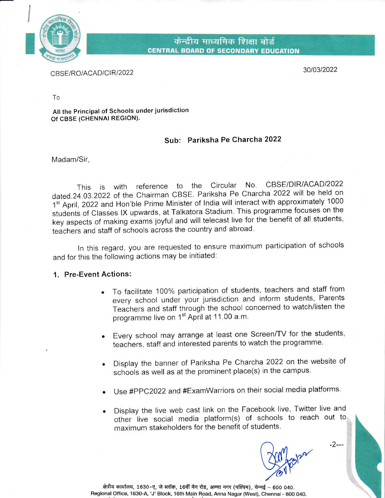

केन्द्रीय माध्यमिक शिक्षा बोर्ड CENTRAL BOARD OF SECONDARY EDUCATION

CBSE/RO/ACAD/CIR/2022

3010312022

To

All the Principal of Schools under jurisdiction of cBSE (CHENNAI REGION).

## Sub: Pariksha Pe Charcha 2022

Madam/Sir,

This is with reference to the Circular No. CBSE/DIR/ACAD/2022 dated.24 03.2022 0f the chairman GBSE Pariksha Pe Charcha 2022will be held on 1<sup>st</sup> April, 2022 and Hon'ble Prime Minister of India will interact with approximately 1000 students of classes lX upwards, at Talkatora stadium. This programme focuses on the key aspects of making exams joyful and will telecast live for the benefit of all students, teachers and staff of schools across the country and abroad'

In this regard, you are requested to ensure maximum participation of schools and for this the following actions may be initiated:

## 1. Pre-Event Actions:

- . To facilitate 100% participation of students, teachers and staff from every school under your jurisdiction and inform students, Parents Teachers and staff through the school concerned to watch/listen the programme live on 1<sup>st</sup> April at 11.00 a.m.
- Every school may arrange at least one Screen/TV for the students, teachers, staff and interested parents to watch the programme.
- Display the banner of Pariksha Pe Charcha 2022 on the website of schools as well as at the prominent place(s) in the campus.
- Use #PPC2022 and #ExamWarriors on their social media platforms.
- Display the live web cast link on the Facebook live, Twitter live and other live social media platform(s) of schools to reach out to maximum stakeholders for the benefit of students.

'(

 $-2$ ---

क्षेत्रीय कार्यालय, 1630-ए, जे ब्लॉक, 16वीं मैन रोड, अण्णा नगर (पश्चिम), चेन्नई – 600 040. Regional Office, 1630-4, 'J' Block, 16th Main Road, Anna Nagar (West), Chennai - 600 O4O